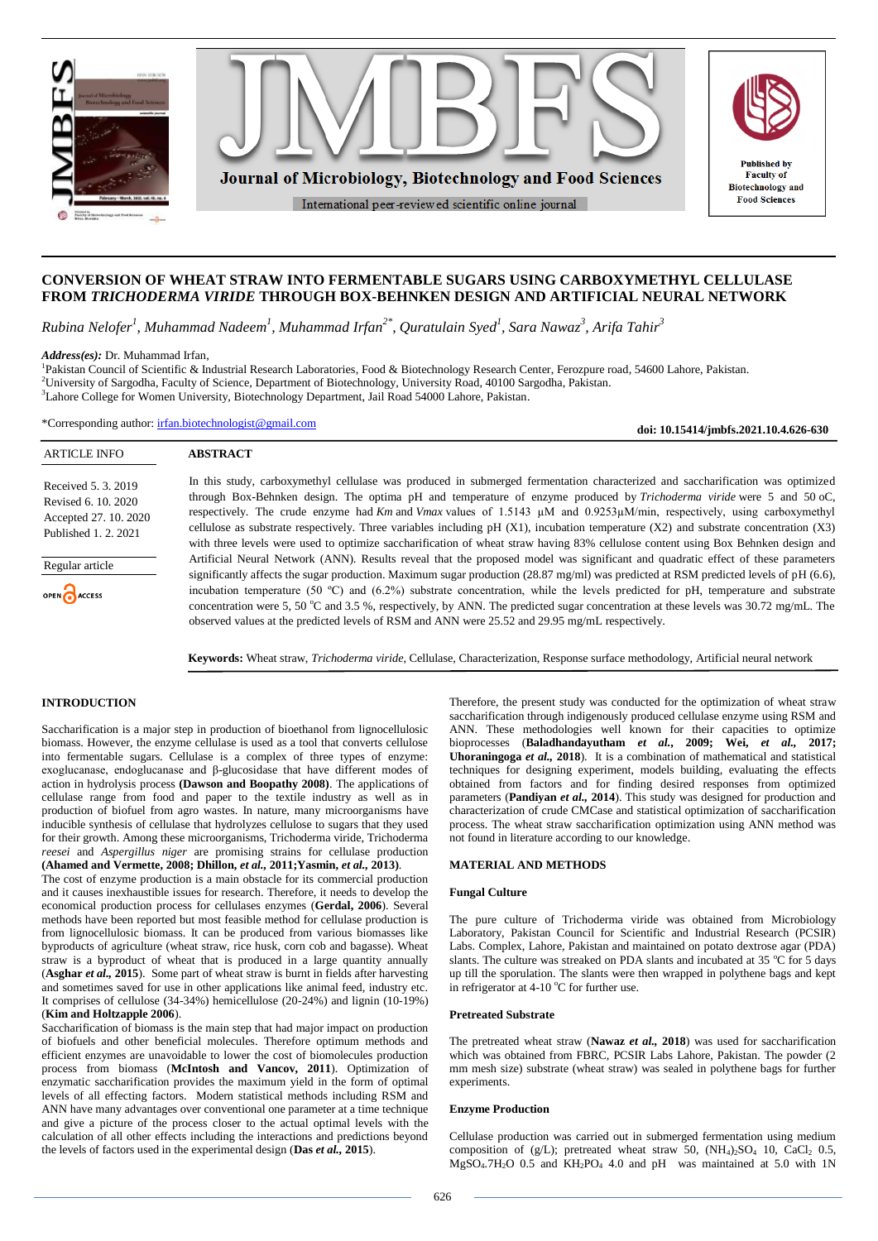

# **CONVERSION OF WHEAT STRAW INTO FERMENTABLE SUGARS USING CARBOXYMETHYL CELLULASE FROM** *TRICHODERMA VIRIDE* **THROUGH BOX-BEHNKEN DESIGN AND ARTIFICIAL NEURAL NETWORK**

*Rubina Nelofer<sup>1</sup> , Muhammad Nadeem<sup>1</sup> , Muhammad Irfan2\* , Quratulain Syed<sup>1</sup> , Sara Nawaz<sup>3</sup> , Arifa Tahir<sup>3</sup>*

*Address(es):* Dr. Muhammad Irfan,

<sup>1</sup>Pakistan Council of Scientific & Industrial Research Laboratories, Food & Biotechnology Research Center, Ferozpure road, 54600 Lahore, Pakistan. <sup>2</sup>University of Sargodha, Faculty of Science, Department of Biotechnology, University Road, 40100 Sargodha, Pakistan. <sup>3</sup>Lahore College for Women University, Biotechnology Department, Jail Road 54000 Lahore, Pakistan.

\*Corresponding author: [irfan.biotechnologist@gmail.com](mailto:irfan.biotechnologist@gmail.com)

**ABSTRACT**

**doi: 10.15414/jmbfs.2021.10.4.626-630**

| Received 5, 3, 2019   |
|-----------------------|
| Revised 6, 10, 2020   |
| Accepted 27, 10, 2020 |

Published 1. 2. 2021

ARTICLE INFO

Regular article

ACCESS

In this study, carboxymethyl cellulase was produced in submerged fermentation characterized and saccharification was optimized through Box-Behnken design. The optima pH and temperature of enzyme produced by *Trichoderma viride* were 5 and 50 oC, respectively. The crude enzyme had *Km* and *Vmax* values of 1.5143 µM and 0.9253µM/min, respectively, using carboxymethyl cellulose as substrate respectively. Three variables including pH (X1), incubation temperature (X2) and substrate concentration (X3) with three levels were used to optimize saccharification of wheat straw having 83% cellulose content using Box Behnken design and Artificial Neural Network (ANN). Results reveal that the proposed model was significant and quadratic effect of these parameters significantly affects the sugar production. Maximum sugar production (28.87 mg/ml) was predicted at RSM predicted levels of pH (6.6), incubation temperature (50 ºC) and (6.2%) substrate concentration, while the levels predicted for pH, temperature and substrate concentration were 5, 50 °C and 3.5 %, respectively, by ANN. The predicted sugar concentration at these levels was 30.72 mg/mL. The observed values at the predicted levels of RSM and ANN were 25.52 and 29.95 mg/mL respectively.

**Keywords:** Wheat straw, *Trichoderma viride*, Cellulase, Characterization, Response surface methodology, Artificial neural network

### **INTRODUCTION**

Saccharification is a major step in production of bioethanol from lignocellulosic biomass. However, the enzyme cellulase is used as a tool that converts cellulose into fermentable sugars. Cellulase is a complex of three types of enzyme: exoglucanase, endoglucanase and β-glucosidase that have different modes of action in hydrolysis process **(Dawson and Boopathy 2008)**. The applications of cellulase range from food and paper to the textile industry as well as in production of biofuel from agro wastes. In nature, many microorganisms have inducible synthesis of cellulase that hydrolyzes cellulose to sugars that they used for their growth. Among these microorganisms, Trichoderma viride, Trichoderma *reesei* and *Aspergillus niger* are promising strains for cellulase production **(Ahamed and Vermette, 2008; Dhillon,** *et al.,* **2011;Yasmin,** *et al.,* **2013)**.

The cost of enzyme production is a main obstacle for its commercial production and it causes inexhaustible issues for research. Therefore, it needs to develop the economical production process for cellulases enzymes (**Gerdal, 2006**). Several methods have been reported but most feasible method for cellulase production is from lignocellulosic biomass. It can be produced from various biomasses like byproducts of agriculture (wheat straw, rice husk, corn cob and bagasse). Wheat straw is a byproduct of wheat that is produced in a large quantity annually (**Asghar** *et al.,* **2015**). Some part of wheat straw is burnt in fields after harvesting and sometimes saved for use in other applications like animal feed, industry etc. It comprises of cellulose (34-34%) hemicellulose (20-24%) and lignin (10-19%) (**Kim and Holtzapple 2006**).

Saccharification of biomass is the main step that had major impact on production of biofuels and other beneficial molecules. Therefore optimum methods and efficient enzymes are unavoidable to lower the cost of biomolecules production process from biomass (**[McIntosh](https://www.sciencedirect.com/science/article/pii/S0961953411002200#!) and [Vancov,](https://www.sciencedirect.com/science/article/pii/S0961953411002200#!) 2011**). Optimization of enzymatic saccharification provides the maximum yield in the form of optimal levels of all effecting factors. Modern statistical methods including RSM and ANN have many advantages over conventional one parameter at a time technique and give a picture of the process closer to the actual optimal levels with the calculation of all other effects including the interactions and predictions beyond the levels of factors used in the experimental design (**Das** *et al.,* **2015**).

Therefore, the present study was conducted for the optimization of wheat straw saccharification through indigenously produced cellulase enzyme using RSM and ANN. These methodologies well known for their capacities to optimize bioprocesses (**Baladhandayutham** *et al.***, 2009; [Wei,](https://www.tandfonline.com/author/Wei%2C+Peilian)** *et al.,* **2017; Uhoraningoga** *et al.,* **2018**). It is a combination of mathematical and statistical techniques for designing experiment, models building, evaluating the effects obtained from factors and for finding desired responses from optimized parameters (**Pandiyan** *et al.,* **2014**). This study was designed for production and characterization of crude CMCase and statistical optimization of saccharification process. The wheat straw saccharification optimization using ANN method was not found in literature according to our knowledge.

### **MATERIAL AND METHODS**

### **Fungal Culture**

The pure culture of Trichoderma viride was obtained from Microbiology Laboratory, Pakistan Council for Scientific and Industrial Research (PCSIR) Labs. Complex, Lahore, Pakistan and maintained on potato dextrose agar (PDA) slants. The culture was streaked on PDA slants and incubated at 35  $\degree$ C for 5 days up till the sporulation. The slants were then wrapped in polythene bags and kept in refrigerator at 4-10  $^{\circ}$ C for further use.

### **Pretreated Substrate**

The pretreated wheat straw (**Nawaz** *et al.,* **2018**) was used for saccharification which was obtained from FBRC, PCSIR Labs Lahore, Pakistan. The powder (2 mm mesh size) substrate (wheat straw) was sealed in polythene bags for further experiments.

#### **Enzyme Production**

Cellulase production was carried out in submerged fermentation using medium composition of (g/L); pretreated wheat straw 50,  $(NH<sub>4</sub>)<sub>2</sub>SO<sub>4</sub>$  10, CaCl<sub>2</sub> 0.5,  $MgSO<sub>4</sub>·7H<sub>2</sub>O$  0.5 and  $KH<sub>2</sub>PO<sub>4</sub>$  4.0 and pH was maintained at 5.0 with 1N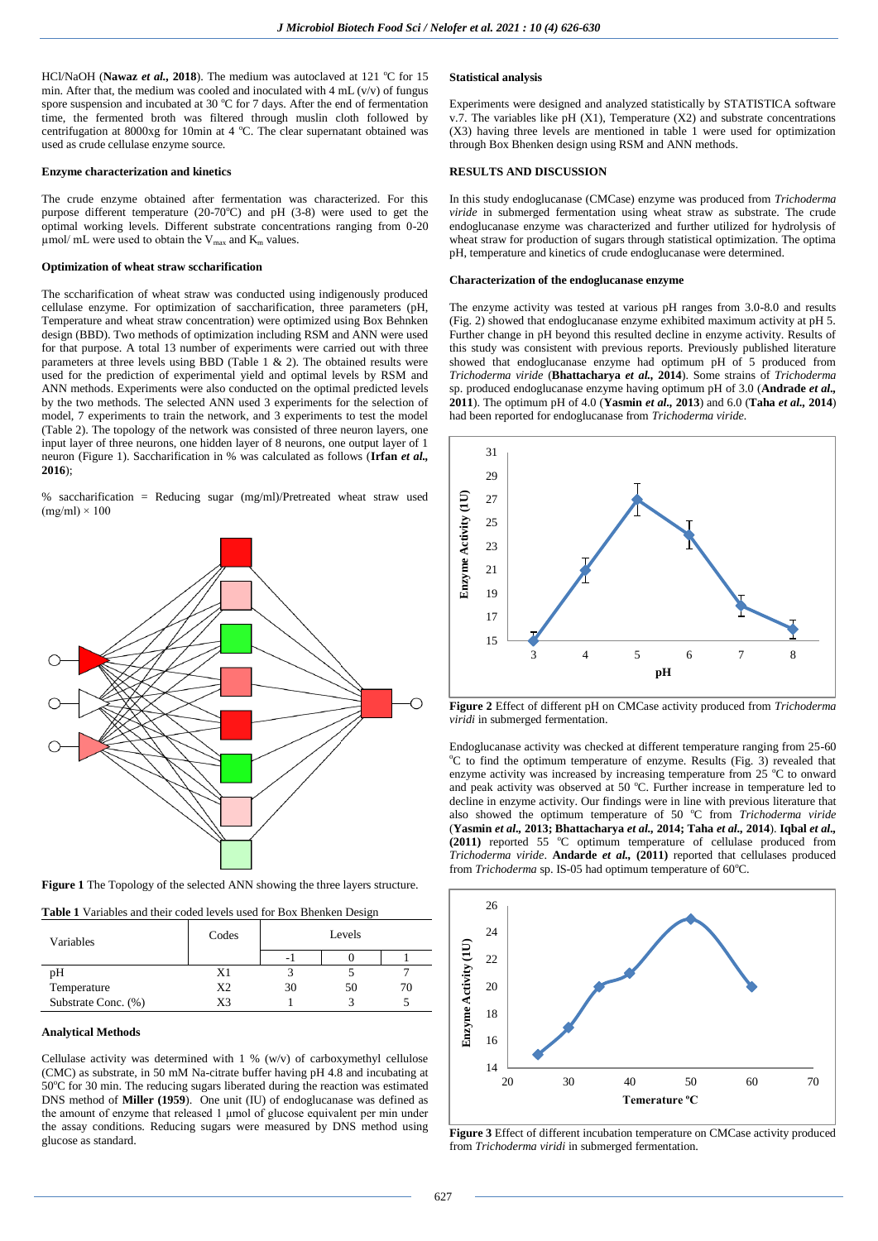HCl/NaOH (Nawaz et al., 2018). The medium was autoclaved at 121 °C for 15 min. After that, the medium was cooled and inoculated with  $4 \text{ mL}$  (v/v) of fungus spore suspension and incubated at 30  $^{\circ}$ C for 7 days. After the end of fermentation time, the fermented broth was filtered through muslin cloth followed by centrifugation at  $8000xg$  for 10min at 4 °C. The clear supernatant obtained was used as crude cellulase enzyme source.

#### **Enzyme characterization and kinetics**

The crude enzyme obtained after fermentation was characterized. For this purpose different temperature  $(20-70^{\circ}\text{C})$  and pH  $(3-8)$  were used to get the optimal working levels. Different substrate concentrations ranging from 0-20  $\mu$ mol/ mL were used to obtain the V<sub>max</sub> and K<sub>m</sub> values.

### **Optimization of wheat straw sccharification**

The sccharification of wheat straw was conducted using indigenously produced cellulase enzyme. For optimization of saccharification, three parameters (pH, Temperature and wheat straw concentration) were optimized using Box Behnken design (BBD). Two methods of optimization including RSM and ANN were used for that purpose. A total 13 number of experiments were carried out with three parameters at three levels using BBD (Table 1 & 2). The obtained results were used for the prediction of experimental yield and optimal levels by RSM and ANN methods. Experiments were also conducted on the optimal predicted levels by the two methods. The selected ANN used 3 experiments for the selection of model, 7 experiments to train the network, and 3 experiments to test the model (Table 2). The topology of the network was consisted of three neuron layers, one input layer of three neurons, one hidden layer of 8 neurons, one output layer of 1 neuron (Figure 1). Saccharification in % was calculated as follows (**Irfan** *et al.,* **2016**);

% saccharification = Reducing sugar (mg/ml)/Pretreated wheat straw used  $(mg/ml) \times 100$ 



**Figure 1** The Topology of the selected ANN showing the three layers structure.

|  |  | <b>Table 1</b> Variables and their coded levels used for Box Bhenken Design |
|--|--|-----------------------------------------------------------------------------|

| Variables           | Codes          | Levels |    |    |
|---------------------|----------------|--------|----|----|
|                     |                |        |    |    |
| pH                  | X1             |        |    |    |
| Temperature         | X <sub>2</sub> | 30     | 50 | 70 |
| Substrate Conc. (%) | X3             |        |    |    |

# **Analytical Methods**

Cellulase activity was determined with  $1\%$  (w/v) of carboxymethyl cellulose (CMC) as substrate, in 50 mM Na-citrate buffer having pH 4.8 and incubating at 50°C for 30 min. The reducing sugars liberated during the reaction was estimated DNS method of **Miller (1959**). One unit (IU) of endoglucanase was defined as the amount of enzyme that released 1 μmol of glucose equivalent per min under the assay conditions. Reducing sugars were measured by DNS method using glucose as standard.

# **Statistical analysis**

Experiments were designed and analyzed statistically by STATISTICA software v.7. The variables like pH (X1), Temperature (X2) and substrate concentrations (X3) having three levels are mentioned in table 1 were used for optimization through Box Bhenken design using RSM and ANN methods.

## **RESULTS AND DISCUSSION**

In this study endoglucanase (CMCase) enzyme was produced from *Trichoderma viride* in submerged fermentation using wheat straw as substrate. The crude endoglucanase enzyme was characterized and further utilized for hydrolysis of wheat straw for production of sugars through statistical optimization. The optima pH, temperature and kinetics of crude endoglucanase were determined.

### **Characterization of the endoglucanase enzyme**

The enzyme activity was tested at various pH ranges from 3.0-8.0 and results (Fig. 2) showed that endoglucanase enzyme exhibited maximum activity at pH 5. Further change in pH beyond this resulted decline in enzyme activity. Results of this study was consistent with previous reports. Previously published literature showed that endoglucanase enzyme had optimum pH of 5 produced from *Trichoderma viride* (**Bhattacharya** *et al.,* **2014**). Some strains of *Trichoderma* sp. produced endoglucanase enzyme having optimum pH of 3.0 (**Andrade** *et al.,* **2011**). The optimum pH of 4.0 (**Yasmin** *et al.,* **2013**) and 6.0 (**Taha** *et al.,* **2014**) had been reported for endoglucanase from *Trichoderma viride.*



**Figure 2** Effect of different pH on CMCase activity produced from *Trichoderma viridi* in submerged fermentation.

Endoglucanase activity was checked at different temperature ranging from 25-60 <sup>o</sup>C to find the optimum temperature of enzyme. Results (Fig. 3) revealed that enzyme activity was increased by increasing temperature from  $25 \degree C$  to onward and peak activity was observed at 50  $^{\circ}$ C. Further increase in temperature led to decline in enzyme activity. Our findings were in line with previous literature that also showed the optimum temperature of 50 °C from *Trichoderma viride* (**Yasmin** *et al.,* **2013; Bhattacharya** *et al.,* **2014; Taha** *et al.,* **2014**). **Iqbal** *et al.,* (2011) reported 55 °C optimum temperature of cellulase produced from *Trichoderma viride*. **Andarde** *et al.,* **(2011)** reported that cellulases produced from *Trichoderma* sp. IS-05 had optimum temperature of 60°C.



**Figure 3** Effect of different incubation temperature on CMCase activity produced from *Trichoderma viridi* in submerged fermentation.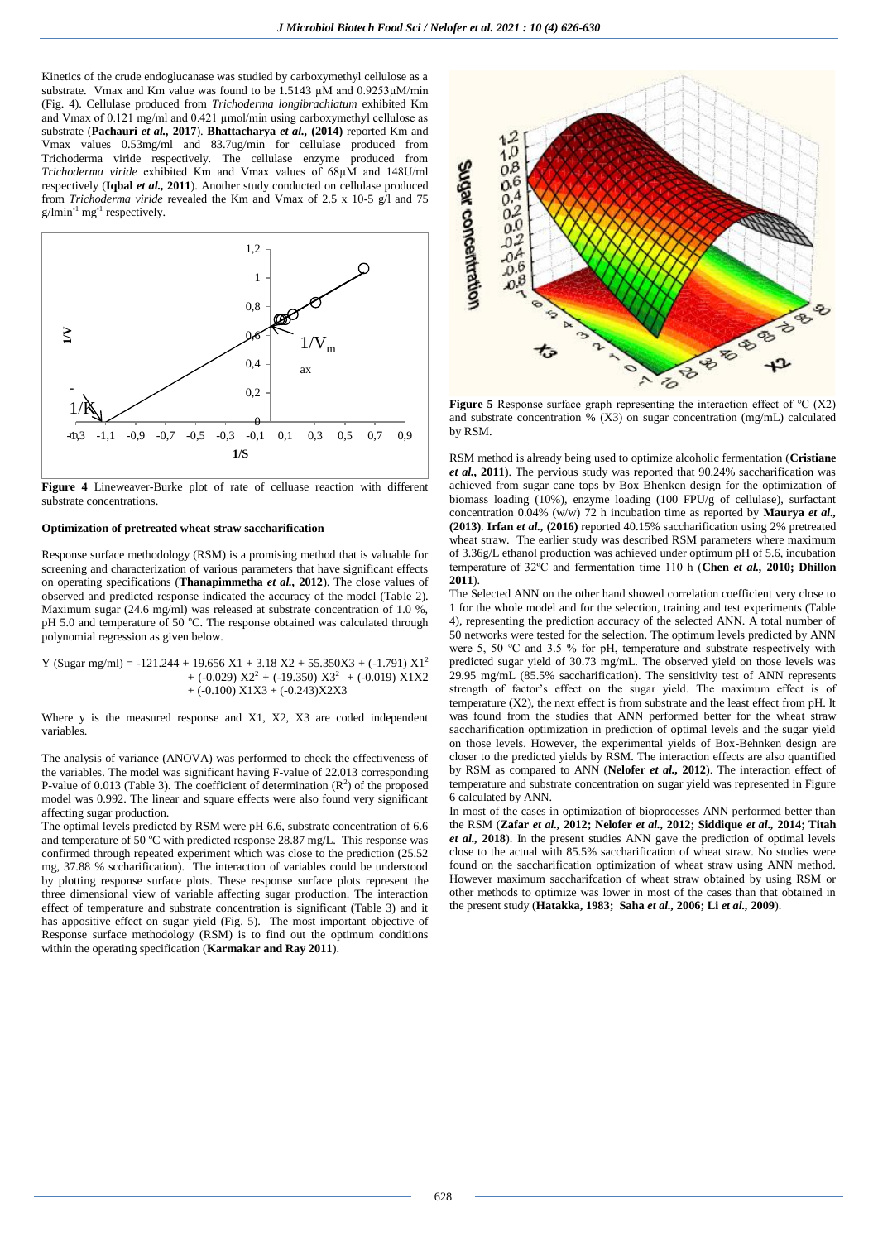Kinetics of the crude endoglucanase was studied by carboxymethyl cellulose as a substrate. Vmax and Km value was found to be 1.5143  $\mu$ M and 0.9253 $\mu$ M/min (Fig. 4). Cellulase produced from *Trichoderma longibrachiatum* exhibited Km and Vmax of 0.121 mg/ml and 0.421 µmol/min using carboxymethyl cellulose as substrate (**Pachauri** *et al.,* **2017**). **Bhattacharya** *et al.,* **(2014)** reported Km and Vmax values 0.53mg/ml and 83.7ug/min for cellulase produced from Trichoderma viride respectively. The cellulase enzyme produced from *Trichoderma viride* exhibited Km and Vmax values of 68µM and 148U/ml respectively (**Iqbal** *et al.,* **2011**). Another study conducted on cellulase produced from *Trichoderma viride* revealed the Km and Vmax of 2.5 x 10-5 g/l and 75  $g/$ lmin<sup>-1</sup> mg<sup>-1</sup> respectively.



**Figure 4** Lineweaver-Burke plot of rate of celluase reaction with different substrate concentrations.

### **Optimization of pretreated wheat straw saccharification**

Response surface methodology (RSM) is a promising method that is valuable for screening and characterization of various parameters that have significant effects on operating specifications (**Thanapimmetha** *et al.,* **2012**). The close values of observed and predicted response indicated the accuracy of the model (Table 2). Maximum sugar (24.6 mg/ml) was released at substrate concentration of 1.0 %. pH 5.0 and temperature of 50 °C. The response obtained was calculated through polynomial regression as given below.

Y (Sugar mg/ml) = -121.244 + 19.656 X1 + 3.18 X2 + 55.350X3 + (-1.791)  $X1<sup>2</sup>$  $+$  (-0.029)  $X2^2$  + (-19.350)  $X3^2$  + (-0.019)  $X1X2$  $+$  (-0.100) X1X3 + (-0.243)X2X3

Where y is the measured response and X1, X2, X3 are coded independent variables.

The analysis of variance (ANOVA) was performed to check the effectiveness of the variables. The model was significant having F-value of 22.013 corresponding P-value of 0.013 (Table 3). The coefficient of determination  $(R^2)$  of the proposed model was 0.992. The linear and square effects were also found very significant affecting sugar production.

The optimal levels predicted by RSM were pH 6.6, substrate concentration of 6.6 and temperature of 50  $^{\circ}$ C with predicted response 28.87 mg/L. This response was confirmed through repeated experiment which was close to the prediction (25.52 mg, 37.88 % sccharification). The interaction of variables could be understood by plotting response surface plots. These response surface plots represent the three dimensional view of variable affecting sugar production. The interaction effect of temperature and substrate concentration is significant (Table 3) and it has appositive effect on sugar yield (Fig. 5). The most important objective of Response surface methodology (RSM) is to find out the optimum conditions within the operating specification (**Karmakar and Ray 2011**).



**Figure 5** Response surface graph representing the interaction effect of ℃ (X2) and substrate concentration % (X3) on sugar concentration (mg/mL) calculated by RSM.

RSM method is already being used to optimize alcoholic fermentation (**Cristiane**  *et al.,* **2011**). The pervious study was reported that 90.24% saccharification was achieved from sugar cane tops by Box Bhenken design for the optimization of biomass loading (10%), enzyme loading (100 FPU/g of cellulase), surfactant concentration 0.04% (w/w) 72 h incubation time as reported by **Maurya** *et al.,* **(2013)**. **Irfan** *et al.,* **(2016)** reported 40.15% saccharification using 2% pretreated wheat straw. The earlier study was described RSM parameters where maximum of 3.36g/L ethanol production was achieved under optimum pH of 5.6, incubation temperature of 32ºC and fermentation time 110 h (**Chen** *et al.,* **2010; Dhillon 2011**).

The Selected ANN on the other hand showed correlation coefficient very close to 1 for the whole model and for the selection, training and test experiments (Table 4), representing the prediction accuracy of the selected ANN. A total number of 50 networks were tested for the selection. The optimum levels predicted by ANN were 5, 50 ℃ and 3.5 % for pH, temperature and substrate respectively with predicted sugar yield of 30.73 mg/mL. The observed yield on those levels was 29.95 mg/mL (85.5% saccharification). The sensitivity test of ANN represents strength of factor's effect on the sugar yield. The maximum effect is of temperature (X2), the next effect is from substrate and the least effect from pH. It was found from the studies that ANN performed better for the wheat straw saccharification optimization in prediction of optimal levels and the sugar yield on those levels. However, the experimental yields of Box-Behnken design are closer to the predicted yields by RSM. The interaction effects are also quantified by RSM as compared to ANN (**Nelofer** *et al.,* **2012**). The interaction effect of temperature and substrate concentration on sugar yield was represented in Figure 6 calculated by ANN.

In most of the cases in optimization of bioprocesses ANN performed better than the RSM (**Zafar** *et al.,* **2012; Nelofer** *et al.,* **2012; Siddique** *et al.,* **2014; Titah**  *et al.,* **2018**). In the present studies ANN gave the prediction of optimal levels close to the actual with 85.5% saccharification of wheat straw. No studies were found on the saccharification optimization of wheat straw using ANN method. However maximum saccharifcation of wheat straw obtained by using RSM or other methods to optimize was lower in most of the cases than that obtained in the present study (**Hatakka, 1983; Saha** *et al.,* **2006; Li** *et al.,* **2009**).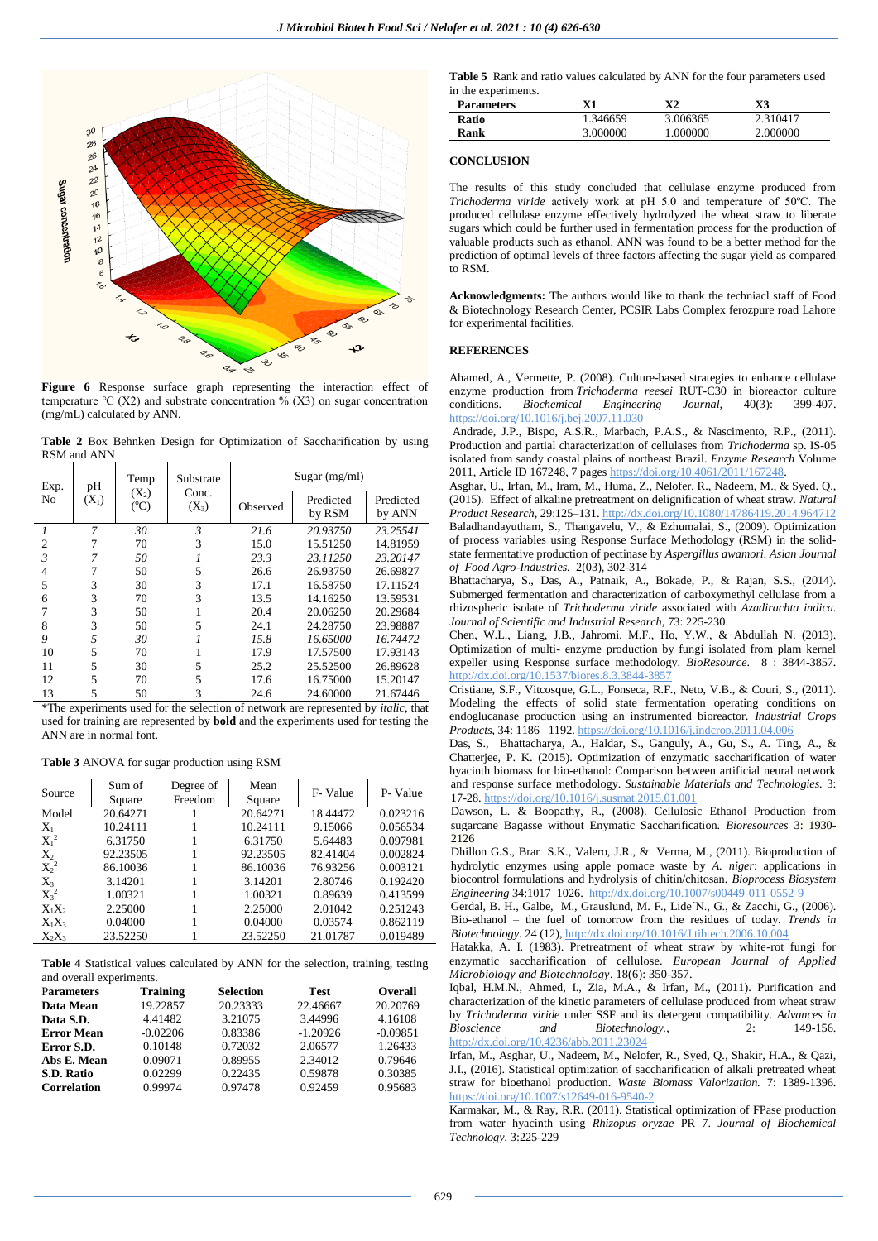

**Figure 6** Response surface graph representing the interaction effect of temperature °C (X2) and substrate concentration % (X3) on sugar concentration (mg/mL) calculated by ANN.

**Table 2** Box Behnken Design for Optimization of Saccharification by using RSM and ANN

| Exp.           | pН      | Temp                       | Substrate        |          | Sugar $(mg/ml)$     |                     |
|----------------|---------|----------------------------|------------------|----------|---------------------|---------------------|
| N <sub>0</sub> | $(X_1)$ | $(X_2)$<br>$({}^{\circ}C)$ | Conc.<br>$(X_3)$ | Observed | Predicted<br>by RSM | Predicted<br>by ANN |
|                | 7       | 30                         | 3                | 21.6     | 20.93750            | 23.25541            |
| $\overline{c}$ |         | 70                         | 3                | 15.0     | 15.51250            | 14.81959            |
| 3              |         | 50                         |                  | 23.3     | 23.11250            | 23.20147            |
| 4              |         | 50                         | 5                | 26.6     | 26.93750            | 26.69827            |
| 5              | 3       | 30                         | 3                | 17.1     | 16.58750            | 17.11524            |
| 6              | 3       | 70                         | 3                | 13.5     | 14.16250            | 13.59531            |
| 7              | 3       | 50                         |                  | 20.4     | 20.06250            | 20.29684            |
| 8              | 3       | 50                         | 5                | 24.1     | 24.28750            | 23.98887            |
| 9              | 5       | 30                         |                  | 15.8     | 16.65000            | 16.74472            |
| 10             | 5       | 70                         |                  | 17.9     | 17.57500            | 17.93143            |
| 11             | 5       | 30                         | 5                | 25.2     | 25.52500            | 26.89628            |
| 12             | 5       | 70                         | 5                | 17.6     | 16.75000            | 15.20147            |
| 13             | 5       | 50                         | 3                | 24.6     | 24.60000            | 21.67446            |

\*The experiments used for the selection of network are represented by *italic*, that used for training are represented by **bold** and the experiments used for testing the ANN are in normal font.

| <b>Table 3 ANOVA</b> for sugar production using RSM |  |  |  |  |  |  |  |  |  |  |  |  |  |
|-----------------------------------------------------|--|--|--|--|--|--|--|--|--|--|--|--|--|
|-----------------------------------------------------|--|--|--|--|--|--|--|--|--|--|--|--|--|

| Source   | Sum of<br>Square | Degree of<br>Freedom | Mean<br>Square | F-Value  | P-Value  |
|----------|------------------|----------------------|----------------|----------|----------|
| Model    | 20.64271         |                      | 20.64271       | 18.44472 | 0.023216 |
| $X_1$    | 10.24111         |                      | 10.24111       | 9.15066  | 0.056534 |
| $X_1^2$  | 6.31750          |                      | 6.31750        | 5.64483  | 0.097981 |
| $X_2$    | 92.23505         |                      | 92.23505       | 82.41404 | 0.002824 |
| $X_2^2$  | 86.10036         |                      | 86.10036       | 76.93256 | 0.003121 |
| $X_3$    | 3.14201          |                      | 3.14201        | 2.80746  | 0.192420 |
| $X_3^2$  | 1.00321          |                      | 1.00321        | 0.89639  | 0.413599 |
| $X_1X_2$ | 2.25000          |                      | 2.25000        | 2.01042  | 0.251243 |
| $X_1X_3$ | 0.04000          |                      | 0.04000        | 0.03574  | 0.862119 |
| $X_2X_3$ | 23.52250         |                      | 23.52250       | 21.01787 | 0.019489 |

**Table 4** Statistical values calculated by ANN for the selection, training, testing and overall experiments.

| <b>Parameters</b>  | <b>Training</b> | <b>Selection</b> | Test       | <b>Overall</b> |
|--------------------|-----------------|------------------|------------|----------------|
| Data Mean          | 19.22857        | 20.23333         | 22.46667   | 20.20769       |
| Data S.D.          | 4.41482         | 3.21075          | 3.44996    | 4.16108        |
| <b>Error Mean</b>  | $-0.02206$      | 0.83386          | $-1.20926$ | $-0.09851$     |
| Error S.D.         | 0.10148         | 0.72032          | 2.06577    | 1.26433        |
| Abs E. Mean        | 0.09071         | 0.89955          | 2.34012    | 0.79646        |
| S.D. Ratio         | 0.02299         | 0.22435          | 0.59878    | 0.30385        |
| <b>Correlation</b> | 0.99974         | 0.97478          | 0.92459    | 0.95683        |

**Table 5** Rank and ratio values calculated by ANN for the four parameters used in the experiments

| <b>Parameters</b> | Х1       | X2       | X3       |
|-------------------|----------|----------|----------|
| Ratio             | 1.346659 | 3.006365 | 2.310417 |
| Rank              | 3.000000 | .000000  | 2.000000 |

### **CONCLUSION**

The results of this study concluded that cellulase enzyme produced from *Trichoderma viride* actively work at pH 5.0 and temperature of 50ºC. The produced cellulase enzyme effectively hydrolyzed the wheat straw to liberate sugars which could be further used in fermentation process for the production of valuable products such as ethanol. ANN was found to be a better method for the prediction of optimal levels of three factors affecting the sugar yield as compared to RSM.

**Acknowledgments:** The authors would like to thank the techniacl staff of Food & Biotechnology Research Center, PCSIR Labs Complex ferozpure road Lahore for experimental facilities.

### **REFERENCES**

[Ahamed,](https://www.sciencedirect.com/science/article/pii/S1369703X07004834#!) A., [Vermette,](https://www.sciencedirect.com/science/article/pii/S1369703X07004834#!) P. (2008). Culture-based strategies to enhance cellulase enzyme production from *Trichoderma reesei* RUT-C30 in bioreactor culture conditions. *[Biochemical Engineering Jo](https://www.sciencedirect.com/science/journal/1369703X)urnal,* [40\(3\)](https://www.sciencedirect.com/science/journal/1369703X/40/3): 399-407. <https://doi.org/10.1016/j.bej.2007.11.030>

Andrade, J.P., Bispo, A.S.R., Marbach, P.A.S., & Nascimento, R.P., (2011). Production and partial characterization of cellulases from *Trichoderma* sp. IS-05 isolated from sandy coastal plains of northeast Brazil. *Enzyme Research* Volume 2011, Article ID 167248, 7 pages https://doi.org/10.4061/2011/167248.

Asghar, U., Irfan, M., Iram, M., Huma, Z., Nelofer, R., Nadeem, M., & Syed. Q., (2015). Effect of alkaline pretreatment on delignification of wheat straw. *Natural Product Research*, 29:125–131. http://dx.doi.org/10.1080/14786419.2014.964712 Baladhandayutham, S., Thangavelu, V., & Ezhumalai, S., (2009). Optimization of process variables using Response Surface Methodology (RSM) in the solidstate fermentative production of pectinase by *Aspergillus awamori. Asian Journal of Food Agro-Industries.* 2(03), 302-314

Bhattacharya, S., Das, A., Patnaik, A., Bokade, P., & Rajan, S.S., (2014). Submerged fermentation and characterization of carboxymethyl cellulase from a rhizospheric isolate of *Trichoderma viride* associated with *Azadirachta indica*. *Journal of Scientific and Industrial Research,* 73: 225-230.

Chen, W.L., Liang, J.B., Jahromi, M.F., Ho, Y.W., & Abdullah N. (2013). Optimization of multi- enzyme production by fungi isolated from plam kernel expeller using Response surface methodology. *BioResource*. 8 : 3844-3857. http://dx.doi.org/10.1537/biores.8.3.3844-3857

Cristiane, S.F., Vitcosque, G.L., Fonseca, R.F., Neto, V.B., & Couri, S., (2011). Modeling the effects of solid state fermentation operating conditions on endoglucanase production using an instrumented bioreactor. *Industrial Crops Products,* 34: 1186– 1192[. https://doi.org/10.1016/j.indcrop.2011.04.006](https://doi.org/10.1016/j.indcrop.2011.04.006)

Das, S., Bhattacharya, A., Haldar, S., Ganguly, A., Gu, S., A. Ting, A., & Chatterjee, P. K. (2015). Optimization of enzymatic saccharification of water hyacinth biomass for bio-ethanol: Comparison between artificial neural network and response surface methodology. *Sustainable Materials and Technologies.* 3: 17-28[. https://doi.org/10.1016/j.susmat.2015.01.001](https://doi.org/10.1016/j.susmat.2015.01.001)

Dawson, L. & Boopathy, R., (2008). Cellulosic Ethanol Production from sugarcane Bagasse without Enymatic Saccharification. *Bioresources* 3: 1930- 2126

Dhillon G.S., Brar S.K., Valero, J.R., & Verma, M., (2011). Bioproduction of hydrolytic enzymes using apple pomace waste by *A. niger*: applications in biocontrol formulations and hydrolysis of chitin/chitosan. *Bioprocess Biosystem Engineering* 34:1017–1026. http://dx.doi.org/10.1007/s00449-011-0552-9

Gerdal, B. H., Galbe, M., Grauslund, M. F., Lide´N., G., & Zacchi, G., (2006). Bio-ethanol – the fuel of tomorrow from the residues of today. *Trends in Biotechnology.* 24 (12), http://dx.doi.org/10.1016/J.tibtech.2006.10.004

Hatakka, A. I. (1983). Pretreatment of wheat straw by white-rot fungi for enzymatic saccharification of cellulose. *[European Journal of Applied](https://link.springer.com/journal/253)  [Microbiology and Biotechnology](https://link.springer.com/journal/253)*. 1[8\(6\)](https://link.springer.com/journal/253/18/6/page/1): 350-357.

Iqbal, H.M.N., Ahmed, I., Zia, M.A., & Irfan, M., (2011). Purification and characterization of the kinetic parameters of cellulase produced from wheat straw by *Trichoderma viride* under SSF and its detergent compatibility. *Advances in Bioscience and Biotechnology.*, 2: 149-156. http://dx.doi.org[/10.4236/abb.2011.23024](http://dx.doi.org/10.4236/abb.2011.23024)

Irfan, M., Asghar, U., Nadeem, M., Nelofer, R., Syed, Q., Shakir, H.A., & Qazi, J.I., (2016). Statistical optimization of saccharification of alkali pretreated wheat straw for bioethanol production. *Waste Biomass Valorization.* 7: 1389-1396. https://doi.org/10.1007/s12649-016-9540-2

Karmakar, M., & Ray, R.R. (2011). Statistical optimization of FPase production from water hyacinth using *Rhizopus oryzae* PR 7. *Journal of Biochemical Technology.* 3:225-229